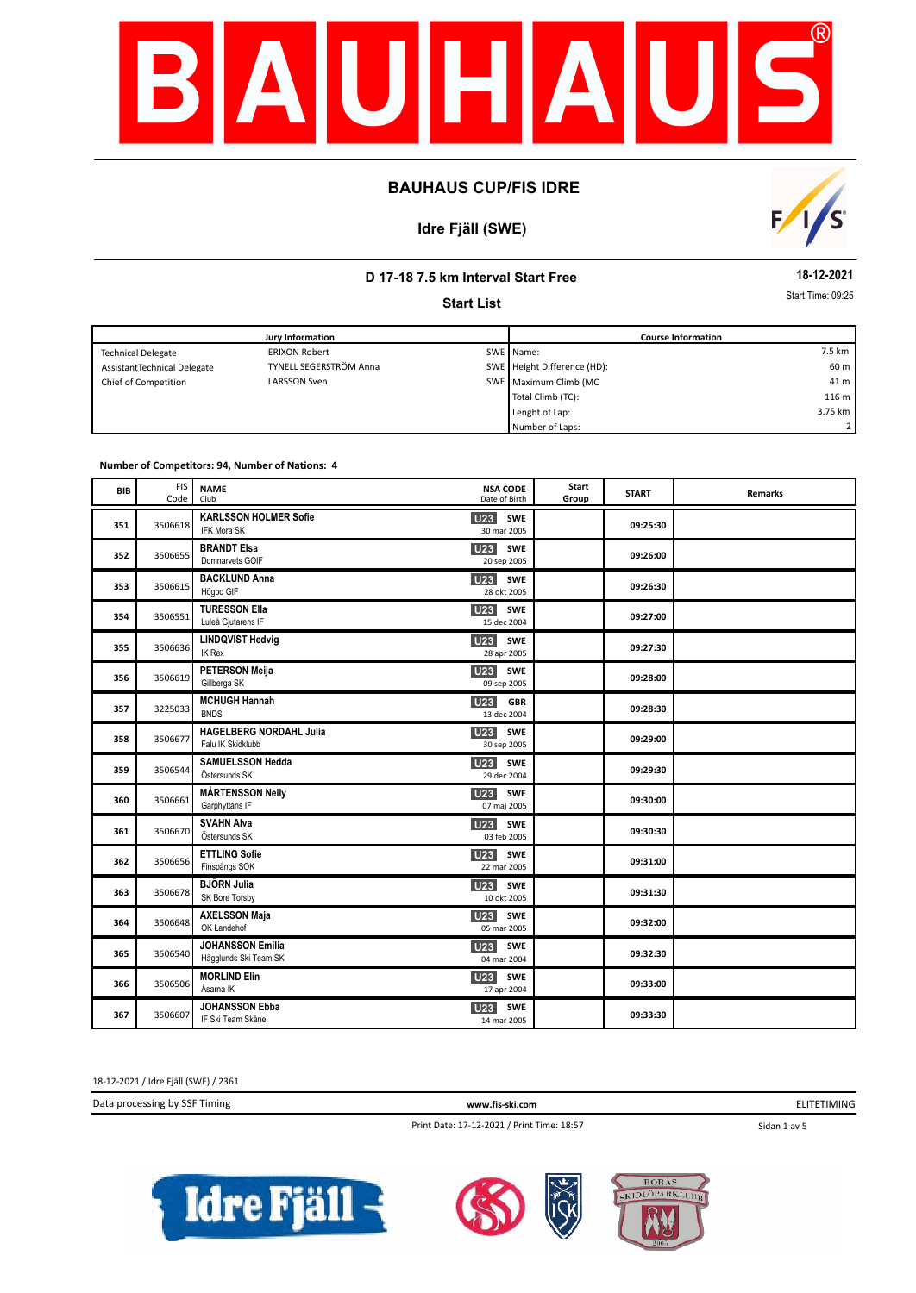

# **Idre Fjäll (SWE)**



## **D 17-18 7.5 km Interval Start Free**

**Start List**

**18-12-2021**

Start Time: 09:25

|                             | <b>Jury Information</b> | <b>Course Information</b>   |                  |
|-----------------------------|-------------------------|-----------------------------|------------------|
| <b>Technical Delegate</b>   | <b>ERIXON Robert</b>    | SWE Name:                   | 7.5 km           |
| AssistantTechnical Delegate | TYNELL SEGERSTRÖM Anna  | SWE Height Difference (HD): | 60 m             |
| Chief of Competition        | <b>LARSSON Sven</b>     | SWE Maximum Climb (MC       | 41 m             |
|                             |                         | Total Climb (TC):           | 116 <sub>m</sub> |
|                             |                         | Lenght of Lap:              | 3.75 km          |
|                             |                         | Number of Laps:             | 2 I              |

#### **Number of Competitors: 94, Number of Nations: 4**

| BIB | <b>FIS</b><br>Code | <b>NAME</b><br>Club                                 | <b>NSA CODE</b><br>Date of Birth        | Start<br>Group | <b>START</b> | <b>Remarks</b> |
|-----|--------------------|-----------------------------------------------------|-----------------------------------------|----------------|--------------|----------------|
| 351 | 3506618            | <b>KARLSSON HOLMER Sofie</b><br>IFK Mora SK         | SWE<br>U23<br>30 mar 2005               |                | 09:25:30     |                |
| 352 | 3506655            | <b>BRANDT Elsa</b><br>Domnarvets GOIF               | U23<br>SWE<br>20 sep 2005               |                | 09:26:00     |                |
| 353 | 3506615            | <b>BACKLUND Anna</b><br>Högbo GIF                   | U <sub>23</sub> SWE<br>28 okt 2005      |                | 09:26:30     |                |
| 354 | 3506551            | <b>TURESSON Ella</b><br>Luleå Gjutarens IF          | <b>U23</b> SWE<br>15 dec 2004           |                | 09:27:00     |                |
| 355 | 3506636            | <b>LINDQVIST Hedvig</b><br>IK Rex                   | U23<br>SWE<br>28 apr 2005               |                | 09:27:30     |                |
| 356 | 3506619            | <b>PETERSON Meija</b><br>Gillberga SK               | U23<br>SWE<br>09 sep 2005               |                | 09:28:00     |                |
| 357 | 3225033            | <b>MCHUGH Hannah</b><br><b>BNDS</b>                 | <b>U23</b><br><b>GBR</b><br>13 dec 2004 |                | 09:28:30     |                |
| 358 | 3506677            | <b>HAGELBERG NORDAHL Julia</b><br>Falu IK Skidklubb | U23<br>SWE<br>30 sep 2005               |                | 09:29:00     |                |
| 359 | 3506544            | <b>SAMUELSSON Hedda</b><br>Östersunds SK            | U23<br>SWE<br>29 dec 2004               |                | 09:29:30     |                |
| 360 | 3506661            | <b>MÅRTENSSON Nelly</b><br>Garphyttans IF           | U <sub>23</sub><br>SWE<br>07 maj 2005   |                | 09:30:00     |                |
| 361 | 3506670            | <b>SVAHN Alva</b><br>Östersunds SK                  | U23 SWE<br>03 feb 2005                  |                | 09:30:30     |                |
| 362 | 3506656            | <b>ETTLING Sofie</b><br>Finspångs SOK               | <b>U23</b><br>SWE<br>22 mar 2005        |                | 09:31:00     |                |
| 363 | 3506678            | <b>BJÖRN Julia</b><br>SK Bore Torsby                | <b>U23</b><br>SWE<br>10 okt 2005        |                | 09:31:30     |                |
| 364 | 3506648            | <b>AXELSSON Maja</b><br>OK Landehof                 | U23<br><b>SWE</b><br>05 mar 2005        |                | 09:32:00     |                |
| 365 | 3506540            | <b>JOHANSSON Emilia</b><br>Hägglunds Ski Team SK    | <b>U23</b><br>SWE<br>04 mar 2004        |                | 09:32:30     |                |
| 366 | 3506506            | <b>MORLIND Elin</b><br>Åsarna IK                    | U23<br>SWE<br>17 apr 2004               |                | 09:33:00     |                |
| 367 | 3506607            | <b>JOHANSSON Ebba</b><br>IF Ski Team Skåne          | <b>SWE</b><br>U23<br>14 mar 2005        |                | 09:33:30     |                |

18-12-2021 / Idre Fjäll (SWE) / 2361

Data processing by SSF Timing **www.fis-ski.com**

Print Date: 17-12-2021 / Print Time: 18:57

ELITETIMING

Sidan 1 av 5





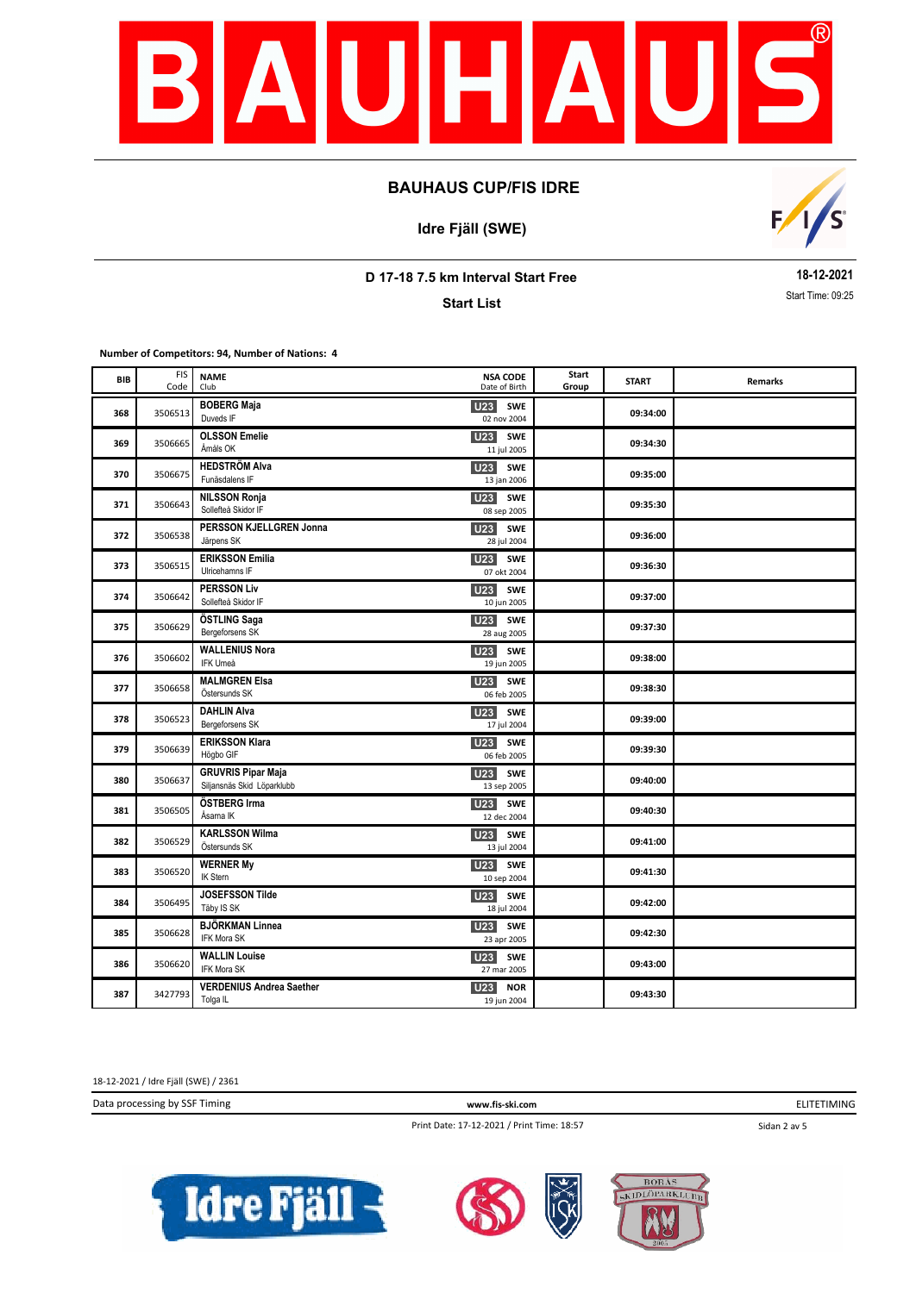

**Idre Fjäll (SWE)**



**D 17-18 7.5 km Interval Start Free**

**Start List**

**18-12-2021** Start Time: 09:25

**Number of Competitors: 94, Number of Nations: 4**

| BIB | <b>FIS</b><br>Code | <b>NAME</b><br>Club                                     | <b>NSA CODE</b><br>Date of Birth             | Start<br>Group | <b>START</b> | Remarks |
|-----|--------------------|---------------------------------------------------------|----------------------------------------------|----------------|--------------|---------|
| 368 | 3506513            | <b>BOBERG Maja</b><br>Duveds IF                         | <b>SWE</b><br>U23<br>02 nov 2004             |                | 09:34:00     |         |
| 369 | 3506665            | <b>OLSSON Emelie</b><br>Åmåls OK                        | <b>U23</b> SWE<br>11 jul 2005                |                | 09:34:30     |         |
| 370 | 3506675            | <b>HEDSTRÖM Alva</b><br>Funäsdalens IF                  | U23 SWE<br>13 jan 2006                       |                | 09:35:00     |         |
| 371 | 3506643            | <b>NILSSON Ronja</b><br>Sollefteå Skidor IF             | U <sub>23</sub><br>SWE<br>08 sep 2005        |                | 09:35:30     |         |
| 372 | 3506538            | PERSSON KJELLGREN Jonna<br>Järpens SK                   | SWE<br><b>U23</b><br>28 jul 2004             |                | 09:36:00     |         |
| 373 | 3506515            | <b>ERIKSSON Emilia</b><br>Ulricehamns IF                | <b>U23</b><br><b>SWE</b><br>07 okt 2004      |                | 09:36:30     |         |
| 374 | 3506642            | <b>PERSSON Liv</b><br>Sollefteå Skidor IF               | <b>U23</b><br><b>SWE</b><br>10 jun 2005      |                | 09:37:00     |         |
| 375 | 3506629            | ÖSTLING Saga<br>Bergeforsens SK                         | <b>U23</b><br>SWE<br>28 aug 2005             |                | 09:37:30     |         |
| 376 | 3506602            | <b>WALLENIUS Nora</b><br>IFK Umeå                       | U23<br><b>SWE</b><br>19 jun 2005             |                | 09:38:00     |         |
| 377 | 3506658            | <b>MALMGREN Elsa</b><br>Östersunds SK                   | U23 SWE<br>06 feb 2005                       |                | 09:38:30     |         |
| 378 | 3506523            | <b>DAHLIN Alva</b><br>Bergeforsens SK                   | U <sub>23</sub><br>SWE<br>17 jul 2004        |                | 09:39:00     |         |
| 379 | 3506639            | <b>ERIKSSON Klara</b><br>Högbo GIF                      | U23 SWE<br>06 feb 2005                       |                | 09:39:30     |         |
| 380 | 3506637            | <b>GRUVRIS Pipar Maja</b><br>Siljansnäs Skid Löparklubb | U <sub>23</sub><br>SWE<br>13 sep 2005        |                | 09:40:00     |         |
| 381 | 3506505            | ÖSTBERG Irma<br>Åsarna IK                               | <b>U23</b><br><b>SWE</b><br>12 dec 2004      |                | 09:40:30     |         |
| 382 | 3506529            | <b>KARLSSON Wilma</b><br>Östersunds SK                  | <b>U23</b><br>SWE<br>13 jul 2004             |                | 09:41:00     |         |
| 383 | 3506520            | <b>WERNER My</b><br><b>IK Stern</b>                     | <b>U23</b><br><b>SWE</b><br>10 sep 2004      |                | 09:41:30     |         |
| 384 | 3506495            | <b>JOSEFSSON Tilde</b><br>Täby IS SK                    | U <sub>23</sub><br><b>SWE</b><br>18 jul 2004 |                | 09:42:00     |         |
| 385 | 3506628            | <b>BJÖRKMAN Linnea</b><br>IFK Mora SK                   | U23 SWE<br>23 apr 2005                       |                | 09:42:30     |         |
| 386 | 3506620            | <b>WALLIN Louise</b><br><b>IFK Mora SK</b>              | U <sub>23</sub> SWE<br>27 mar 2005           |                | 09:43:00     |         |
| 387 | 3427793            | <b>VERDENIUS Andrea Saether</b><br>Tolga IL             | U23<br><b>NOR</b><br>19 jun 2004             |                | 09:43:30     |         |

18-12-2021 / Idre Fjäll (SWE) / 2361

Data processing by SSF Timing **www.fis-ski.com**

ELITETIMING

Print Date: 17-12-2021 / Print Time: 18:57

Sidan 2 av 5





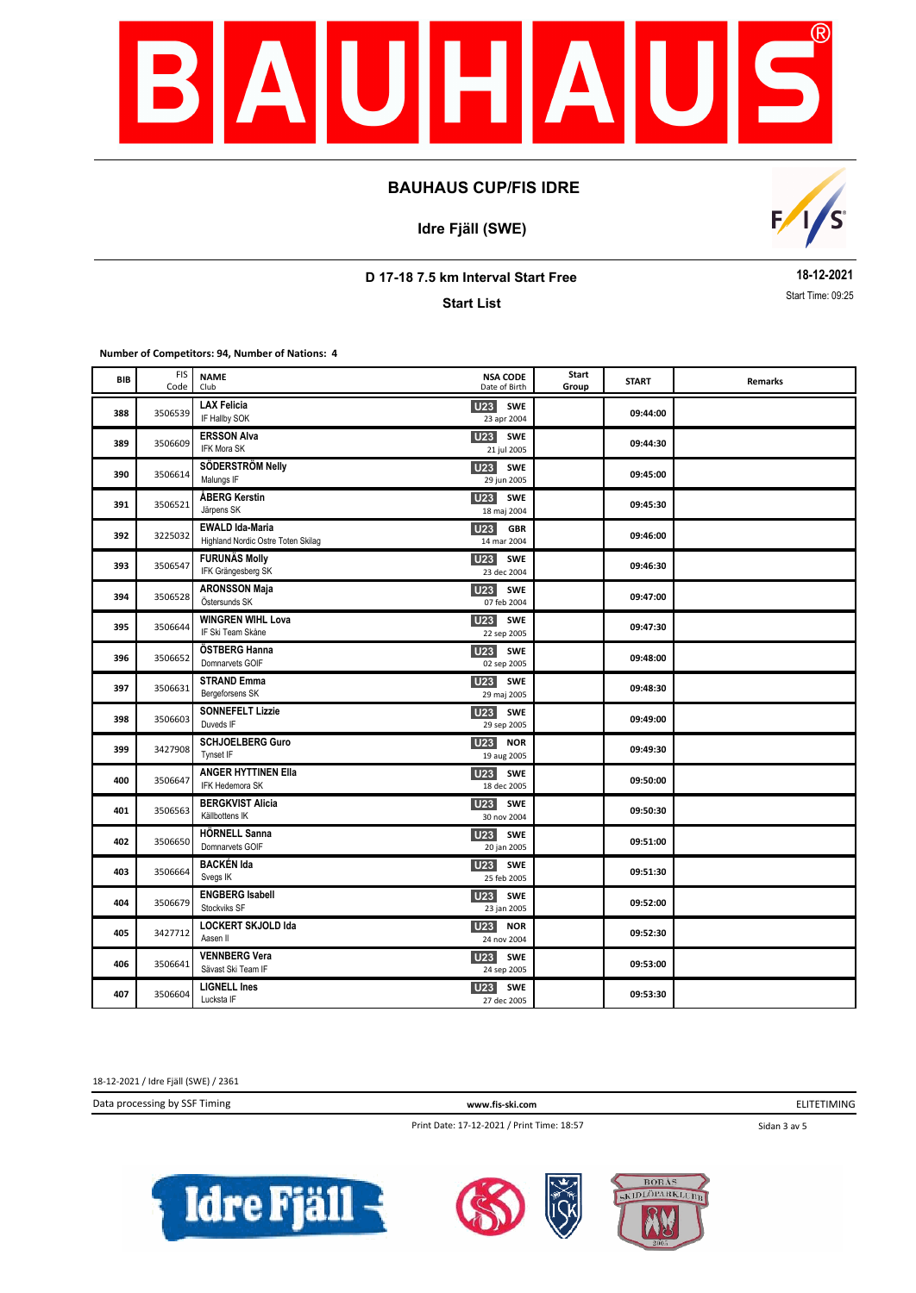

**Idre Fjäll (SWE)**



**D 17-18 7.5 km Interval Start Free**

**Start List**

**18-12-2021** Start Time: 09:25

**Number of Competitors: 94, Number of Nations: 4**

| BIB | <b>FIS</b><br>Code | <b>NAME</b><br>Club                                          | <b>NSA CODE</b><br>Date of Birth             | Start<br>Group | <b>START</b> | Remarks |
|-----|--------------------|--------------------------------------------------------------|----------------------------------------------|----------------|--------------|---------|
| 388 | 3506539            | <b>LAX Felicia</b><br>IF Hallby SOK                          | <b>U23</b><br><b>SWE</b><br>23 apr 2004      |                | 09:44:00     |         |
| 389 | 3506609            | <b>ERSSON Alva</b><br>IFK Mora SK                            | <b>U23</b><br><b>SWE</b><br>21 jul 2005      |                | 09:44:30     |         |
| 390 | 3506614            | SÖDERSTRÖM Nelly<br>Malungs IF                               | <b>U23</b> SWE<br>29 jun 2005                |                | 09:45:00     |         |
| 391 | 3506521            | ÅBERG Kerstin<br>Järpens SK                                  | U23<br><b>SWE</b><br>18 maj 2004             |                | 09:45:30     |         |
| 392 | 3225032            | <b>EWALD Ida-Maria</b><br>Highland Nordic Ostre Toten Skilag | <b>GBR</b><br>U23<br>14 mar 2004             |                | 09:46:00     |         |
| 393 | 3506547            | <b>FURUNÄS Molly</b><br>IFK Grängesberg SK                   | U23<br><b>SWE</b><br>23 dec 2004             |                | 09:46:30     |         |
| 394 | 3506528            | <b>ARONSSON Maja</b><br>Östersunds SK                        | <b>U23</b><br><b>SWE</b><br>07 feb 2004      |                | 09:47:00     |         |
| 395 | 3506644            | <b>WINGREN WIHL Lova</b><br>IF Ski Team Skåne                | <b>U23</b><br><b>SWE</b><br>22 sep 2005      |                | 09:47:30     |         |
| 396 | 3506652            | ÖSTBERG Hanna<br>Domnarvets GOIF                             | <b>U23</b><br><b>SWE</b><br>02 sep 2005      |                | 09:48:00     |         |
| 397 | 3506631            | <b>STRAND Emma</b><br>Bergeforsens SK                        | U23 SWE<br>29 maj 2005                       |                | 09:48:30     |         |
| 398 | 3506603            | <b>SONNEFELT Lizzie</b><br>Duveds IF                         | U23<br>SWE<br>29 sep 2005                    |                | 09:49:00     |         |
| 399 | 3427908            | <b>SCHJOELBERG Guro</b><br>Tynset IF                         | U <sub>23</sub><br><b>NOR</b><br>19 aug 2005 |                | 09:49:30     |         |
| 400 | 3506647            | <b>ANGER HYTTINEN Ella</b><br>IFK Hedemora SK                | U <sub>23</sub><br>SWE<br>18 dec 2005        |                | 09:50:00     |         |
| 401 | 3506563            | <b>BERGKVIST Alicia</b><br>Källbottens IK                    | U <sub>23</sub><br>SWE<br>30 nov 2004        |                | 09:50:30     |         |
| 402 | 3506650            | <b>HÖRNELL Sanna</b><br>Domnarvets GOIF                      | <b>U23</b><br><b>SWE</b><br>20 jan 2005      |                | 09:51:00     |         |
| 403 | 3506664            | <b>BACKÉN Ida</b><br>Svegs IK                                | <b>U23</b><br><b>SWE</b><br>25 feb 2005      |                | 09:51:30     |         |
| 404 | 3506679            | <b>ENGBERG Isabell</b><br>Stockviks SF                       | <b>U23</b><br>SWE<br>23 jan 2005             |                | 09:52:00     |         |
| 405 | 3427712            | <b>LOCKERT SKJOLD Ida</b><br>Aasen II                        | <b>U23</b><br><b>NOR</b><br>24 nov 2004      |                | 09:52:30     |         |
| 406 | 3506641            | <b>VENNBERG Vera</b><br>Sävast Ski Team IF                   | <b>U23</b> SWE<br>24 sep 2005                |                | 09:53:00     |         |
| 407 | 3506604            | <b>LIGNELL Ines</b><br>Lucksta IF                            | <b>U23</b><br>SWE<br>27 dec 2005             |                | 09:53:30     |         |

18-12-2021 / Idre Fjäll (SWE) / 2361

Data processing by SSF Timing **www.fis-ski.com**

ELITETIMING

Print Date: 17-12-2021 / Print Time: 18:57

Sidan 3 av 5





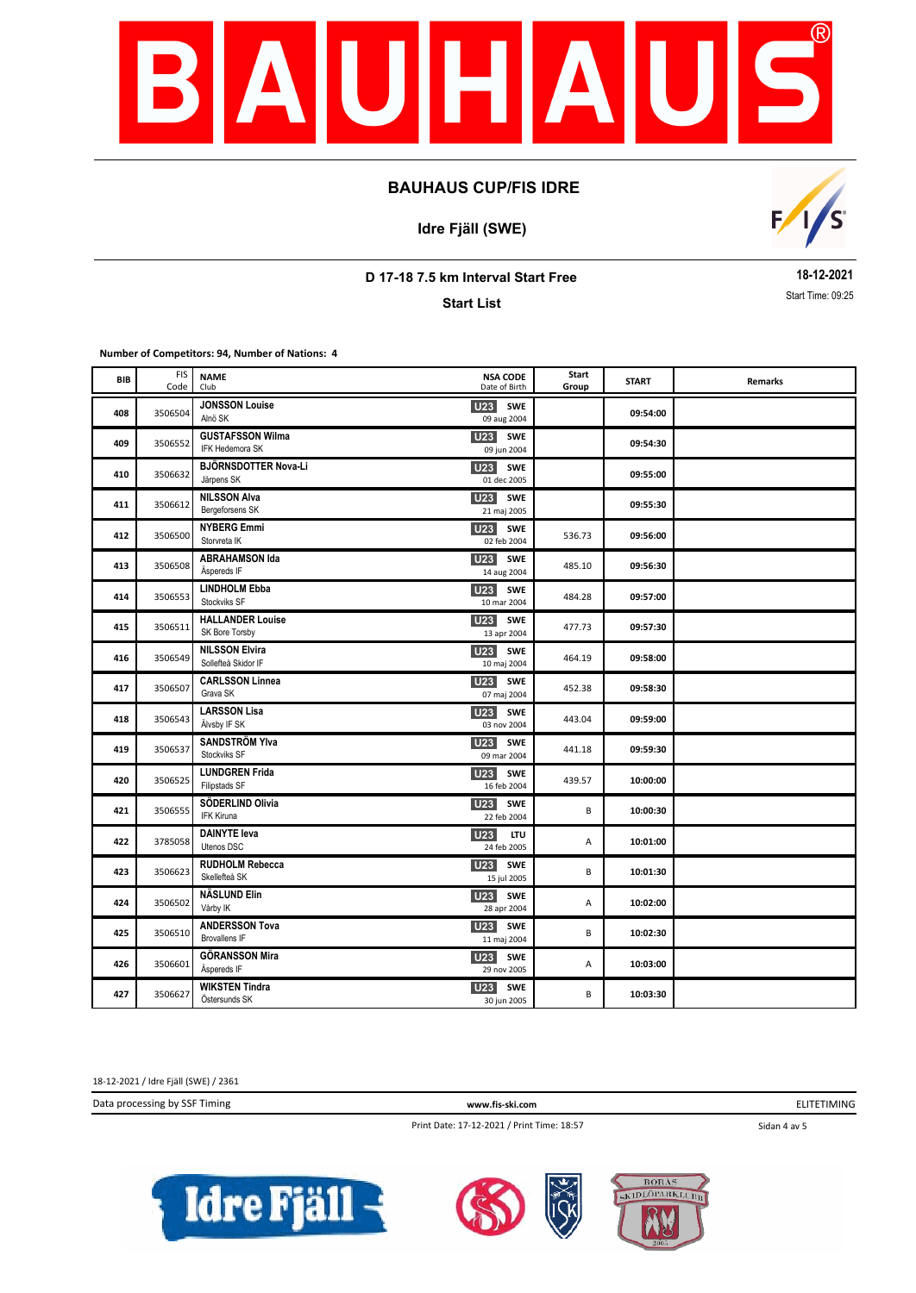

**Idre Fjäll (SWE)**



**D 17-18 7.5 km Interval Start Free**

**Start List**

**18-12-2021** Start Time: 09:25

**Number of Competitors: 94, Number of Nations: 4**

| BIB | <b>FIS</b><br>Code | <b>NAME</b><br>Club                           | <b>NSA CODE</b><br>Date of Birth             | Start<br>Group | <b>START</b> | Remarks |
|-----|--------------------|-----------------------------------------------|----------------------------------------------|----------------|--------------|---------|
| 408 | 3506504            | <b>JONSSON Louise</b><br>Alnö SK              | <b>U23</b><br>SWE<br>09 aug 2004             |                | 09:54:00     |         |
| 409 | 3506552            | <b>GUSTAFSSON Wilma</b><br>IFK Hedemora SK    | U <sub>23</sub> SWE<br>09 jun 2004           |                | 09:54:30     |         |
| 410 | 3506632            | BJÖRNSDOTTER Nova-Li<br>Järpens SK            | <b>U23</b> SWE<br>01 dec 2005                |                | 09:55:00     |         |
| 411 | 3506612            | <b>NILSSON Alva</b><br>Bergeforsens SK        | <b>U23</b><br>SWE<br>21 maj 2005             |                | 09:55:30     |         |
| 412 | 3506500            | <b>NYBERG Emmi</b><br>Storvreta IK            | <b>U23</b> SWE<br>02 feb 2004                | 536.73         | 09:56:00     |         |
| 413 | 3506508            | <b>ABRAHAMSON Ida</b><br>Äspereds IF          | <b>U23</b><br><b>SWE</b><br>14 aug 2004      | 485.10         | 09:56:30     |         |
| 414 | 3506553            | <b>LINDHOLM Ebba</b><br>Stockviks SF          | <b>U23</b><br><b>SWE</b><br>10 mar 2004      | 484.28         | 09:57:00     |         |
| 415 | 3506511            | <b>HALLANDER Louise</b><br>SK Bore Torsby     | <b>U23</b><br><b>SWE</b><br>13 apr 2004      | 477.73         | 09:57:30     |         |
| 416 | 3506549            | <b>NILSSON Elvira</b><br>Sollefteå Skidor IF  | <b>U23</b><br><b>SWE</b><br>10 maj 2004      | 464.19         | 09:58:00     |         |
| 417 | 3506507            | <b>CARLSSON Linnea</b><br>Grava SK            | U23 SWE<br>07 maj 2004                       | 452.38         | 09:58:30     |         |
| 418 | 3506543            | <b>LARSSON Lisa</b><br>Älvsby IF SK           | U <sub>23</sub> SWE<br>03 nov 2004           | 443.04         | 09:59:00     |         |
| 419 | 3506537            | <b>SANDSTRÖM YIva</b><br>Stockviks SF         | U <sub>23</sub><br>SWE<br>09 mar 2004        | 441.18         | 09:59:30     |         |
| 420 | 3506525            | <b>LUNDGREN Frida</b><br>Filipstads SF        | U <sub>23</sub><br>SWE<br>16 feb 2004        | 439.57         | 10:00:00     |         |
| 421 | 3506555            | SÖDERLIND Olivia<br>IFK Kiruna                | U <sub>23</sub><br><b>SWE</b><br>22 feb 2004 | B              | 10:00:30     |         |
| 422 | 3785058            | <b>DAINYTE leva</b><br>Utenos DSC             | <b>U23</b><br><b>LTU</b><br>24 feb 2005      | Α              | 10:01:00     |         |
| 423 | 3506623            | <b>RUDHOLM Rebecca</b><br>Skellefteå SK       | <b>U23</b><br><b>SWE</b><br>15 jul 2005      | B              | 10:01:30     |         |
| 424 | 3506502            | <b>NÄSLUND Elin</b><br>Vårby IK               | U <sub>23</sub> SWE<br>28 apr 2004           | А              | 10:02:00     |         |
| 425 | 3506510            | <b>ANDERSSON Tova</b><br><b>Brovallens IF</b> | U <sub>23</sub> SWE<br>11 maj 2004           | B              | 10:02:30     |         |
| 426 | 3506601            | <b>GÖRANSSON Mira</b><br>Äspereds IF          | U23 SWE<br>29 nov 2005                       | Α              | 10:03:00     |         |
| 427 | 3506627            | <b>WIKSTEN Tindra</b><br>Östersunds SK        | U23<br><b>SWE</b><br>30 jun 2005             | B              | 10:03:30     |         |

18-12-2021 / Idre Fjäll (SWE) / 2361

Data processing by SSF Timing **www.fis-ski.com**

ELITETIMING

Print Date: 17-12-2021 / Print Time: 18:57

Sidan 4 av 5